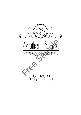

Tich Brewster<br>Shalisha Cooper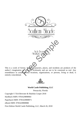

Tich Brewster<br>Shalisha Cooper

This is a work of fiction. Names, characters, places, and incidents are products of the author's imagination or are used fictitiously and are not to be construed as real. Any resemblance to actual events, locations, organizations, or persons, living or dead, is entirely coincidental.



**World Castle Publishing, LLC** 

Pensacola, Florida Copyright  $\odot$  Tich Brewster & Shalisha Cooper 2018 Hardback ISBN: 9781629898964 Paperback ISBN: 9781629898971 eBook ISBN: 9781629898988 First Edition World Castle Publishing, LLC, March 26, 2018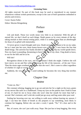#### <http://www.worldcastlepublishing.com>

#### **Licensing Notes**

All rights reserved. No part of this book may be used or reproduced in any manner whatsoever without written permission, except in the case of brief quotations embodied in articles and reviews.

Cover: Karen Fuller

Editor: Maxine Bringenberg

### Preface

#### *Caleb*

Life and death. Those two words mean very little to an immortal. With the gift of eternal life, we don't dwell on such things. Death passes us by every minute of the day, taking mortals to their eternal resting place, while it is nothing more than an afterthought for those of us gifted with immortality.

I'd never given it much thought until now. Death never had a reason to be on my radar, but as I stare into her eyes, those honey-brown eyes of a killer, I now know the fear that death brings. The universe has finally decided to show up and flip my world upside down. Now my heart is pounding, threatening to burst forth out of my chest. I beg death to leave, to run for the hills and let us be.

#### Will she?

Recognition shines in her eyes, and for an instant I think she might. I believe she will have mercy on me and flee without claiming the life of the innocent...of the one I love. Then the storm rages overhead and I know that she won't. She's come to collect regardless of whether it's right or wrong.

Suddenly, the very thing that I cared nothing for becomes the very thing that terrifies me.

### **Chapter One**

#### *Desiree*

"Come on, Des."

Her constant whining, begging me to go out and join her for a night on the town, grates on my nerves like nails on a chalkboard. I keep my eyes on the patient chart I hold in front of me; it's hard for me to focus when she won't shut her mouth for more than half a second. She's insistent, and I wish she would just go away and bug some other poor soul.

Feeling her hovering over me, not willing to walk away without hearing my answer, I sigh. I can hear her intake of breath as she prepares to say something, most likely to continue her begging. Before she can utter a word, I speak. "No." It's clear and to the point.

But, of course, she can't just walk away. Nope. She just has to keep begging, like every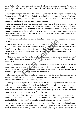other Friday. "Des, please come. If you hate it, I'll never ask you to join me. Never, ever again." If I had a penny for every time I'd heard those words from her lips, I'd be a millionaire.

Pulling the ink pen from my teeth, I finish logging the patient's progress and turn away from my nagging friend. A big puff of air leaves her lips, and I imagine her with her hands on her hips as she spins around to follow me. I lean over the counter that is the nurse's station and slip the chart into an empty slot on the rack.

She lets out several long slow breaths, and I know she is trying to think of a way to convince me to go out and party with her. One would think that after years of failed attempts, she would find a new buddy to pester. Turning to face her, I lean my hip on the counter. Looking her in the eyes, I tell her what I've told her every week for as long as we have worked here. "Look, Tracy, you know that I have zero desire to go clubbing with you. It's just not my thing."

With her hand on her hip, she purses those lips of hers. "Have you even gone to a club, like ever?"

This woman has known me since childhood—I don't know why she even bothers to ask. "No, and I don't have any desire to. Besides, I have a house to clean and a cat to feed." If only I had the ability to freeze time long enough to get out of there without having to endure any more pressure. Every weekend—I listened to her constant whining *every* weekend.

"The house can wait. As for the cat, feed her when you go home to change clothes." Tracy's lips thrust out in a pout, giving me the most pathetic puppy face I have ever been subjected to.

Shaking my head, I push myself off the counter and walk away. I'm a sucker for the puppy face, and she knows it. I need to leave before I lose my mind and cave in. Reminding myself that I have a date with my television tonight to catch up on this week's daytime soaps, I respond with, "Thanks, but no thanks."

The smell of disinfectants assaults my nose as I walk down the hall. A meal cart is against one wall and two mobile blood pressure machines are against the other. Constant beeping seeps out from under a door to my left.

Coming to a stop, I peek in the last room on this hall. This patient had been admitted early this morning with heart failure. Heart failure. The poor girl is only ten years old how can her heart be failing her? My heart aches for this innocent little girl. Why do children have to suffer from terminal illness? I just don't get it. Why couldn't this have happened to a serial killer instead of her? Life is so cruel.

She is sitting in bed, the covers up to her chin, and she's watching a cartoon on television. I knock on the door so I don't startle her. "Hey, sweetie, I just wanted to say goodnight before I left. I won't be back for a couple of days, but I'll see you then."

Avery's eyes are sad but she gives me her best smile. "Okay." Her voice is thick, most likely from a recent cry. She looks down at the bright green frog tucked securely in her hand. "Thank you for my frog. I named him Tulip." She hugs the stuffed animal to her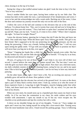chest, kissing it on the top of its head.

Seeing her cling to that stuffed animal makes me glad I took the time to buy it for her. "You're very welcome."

Avery's mother blinks her eyes open, having been woken up by our little chat. The woman has dark circles under her eyes, a sad testimonial of her sleeplessness and worry. I wave to her and she acknowledges me with a weak smile. Backing out of the room, I close the door and continue my journey toward the only exit on this side of the floor.

I follow the curve of the hall and continue to the elevators that are at the end of this hallway. I'm almost home free. "Des, you're twenty-four years old and you're living like a lonely sixty-five-year-old woman." Tracy had been so quiet that I assumed she had given up and left. Nope, just my luck. "Come on, it's time to live a little." When I don't respond, she sighs. "At least for tonight. Please?"

I press the elevator button, ignoring her in hopes that she'll take the hint and leave me alone. One could only hope. When the doors open Tracy follows me inside. This girl is my best friend. She's supposed to be the one protecting me from peer pressure, not the one doing the pressuring. I blow out a breath, feeling defeated. "Okay, fine." I roll my eyes upon seeing her giddy smile. "I'll go with you tonight, but you have to promise me that I will never hear you beg me to do this, ever again."

"Done." Clapping her hands like a child, her goofy smile spreads even wider. She has finally broken my will, and the little she-devil is proud of herself. "I'll stop by in an hour, be showered and dressed to impress."

*Oh* jeez, it's going to be one of those nights. I can't help it; my eyes roll of their own accord. I cannot believe the mess I've just gotten myself into. The last time I went out with the girls was back when we were still in high school. Now that I am a full-time nurse, my daily schedule consists of working, cleaning house, caring for my cat, and in my spare time I like to kick back with my medical journals. I am far too busy to have any interest in partying.

On the other hand, she is right. I don't have a life. Not an exciting one anyway. I will probably grow old and die all alone. How pathetic is that?

The ding signals that the elevator has arrived at the ground level. As soon as the doors open a pair of shiny black cowboy boots enter. I look up, curious as to who the owner of those expensive boots is. Long legs in tight Wranglers, muscles bulging under that white T-shirt, and those hazel eyes stir butterflies in my belly. *Oh, my word, I've just met the man of my dreams*.

When our eyes meet, his mouth turns up in a lopsided grin that causes my heart to beat wildly. As if he can hear the commotion in my chest, his smile widens and his eyes twinkle with amusement. I open my mouth to say *hi* but my voice escapes me. He chuckles at my predicament and tips his cowboy hat with a wink.

A shove on my shoulder brings me out of my thoughts. "Come on." Tracy nudges me again and I move my feet, hating myself for acting like a love-struck idiot. Turning away from the most handsome man alive, I head toward the parking garage. Tracy is following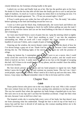closely behind me, her footsteps echoing loudly in the quiet.

I unlock my car door and finally look up at her. She has the goofiest grin on her face. No doubt it's from the fact that after all this time she finally got me to cave in and join her night of madness. As much as I want to change my mind, there is no backing out now. I'm locked into this stupid agreement. "So...I'll see you around eight o'clock?"

If Tracy's smile grows any wider, her face will split in two. "Yes. Be ready," she orders before spinning on her heel and heading toward her own car.

I wave as I drive past her black Jeep. Enthusiastically, she waves back and follows me out of the parking garage. Stopping to check for traffic before pulling out onto the road, I glance at my rearview mirror and can see her head bobbing to the beat of whatever song she's listening to.

As I turn onto Farrall Street a wave of panic hits me. I grip the steering wheel so tightly my knuckles turn white. "I don't have anything to wear," I say into the emptiness surrounding me. *What on earth will I wear tonight?* My closet consists of scrubs, a handful of worn-out T-shirts, and a couple of pairs of faded blue jeans.

Glancing out the window, the movie theater comes into view and the shock of how far I've driven brings a gasp out of me. Thank God for autopilot, because I don't remember driving this far. The blinking lights of the movie theater taunt me with the promise of refuge.

Biting my bottom lip, I contemplate pulling in. If I were to see a movie, then I could easily avoid this soon-to-be disastrous night. It would be perfect, and she would never *think* to look for me here. A smile starts to spread on my face at the thought of escaping this hell. All I'd have to do would be shut off my phone, and she wouldn't have the ability to track my location.

My foot slowly presses on the brake and my hand prepares to signal my turn. Right before I press the lever, I speed up and continue my journey home. This isn't me. I don't avoid people, especially my friends. What I need to do is buck up and own this mess. Who knows, I may enjoy myself and remember what it's like to let loose and live a little.

## **Chapter Two**

### *Caleb*

Those perfect brown orbs pierce me to the very depths of my soul. Who is this woman? Her eyes venture from my feet up to my face, paying extra attention to my hips and abs. The way her nostrils flare when she appraises my body brings a lopsided grin to my face. Her eyes zero in on my lips and I can hear her heartbeat accelerate. I hope she likes what she sees, because I sure as hell love what I see.

The hospital scrubs she is wearing hide every curve of her body, but that doesn't stop me from assessing what lies underneath. Though her hair is tied on top of her head in a messy bun and her face is devoid of all make-up, this woman standing before me is the prettiest I've ever seen.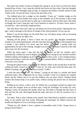She opens her mouth; it looks as though she's going to say *hi*, but no words leave those beautiful lips of hers. I can't stop the chuckle that leaves my lips when I hear her thoughts about the way my Wranglers hug my hips. In response she intakes a breath, afraid of what I think of her. To ease her fears, I tip my hat and wink at her.

The redhead gives her a nudge on the shoulder. "Come on." Another nudge on the shoulder and her eyes finally leave mine as she stumbles out of the elevator. I don't want her to go, but now is not the time to strike up a conversation with my little siren. She looks as though she's had a long day, and I have business to attend to. At least I know where I can find her—she's obviously employed here.

The steel doors close and I take my cell phone out of my back pocket. Opening the text app, I send a message to the doctor in charge of the critical patients. On my way up.

Before I can hit the button for the third floor, my cell phone beeps with an incoming message. *Heading to my office now*.

Shutting off the phone, I shove it back into my pocket. My thoughts immediately wonder to my dark-haired beauty with the chocolate brown eyes. I'm in this hospital once a month. I can't believe I've never seen her before. Of course, I usually make my appointments for late in the evening. Tonight is an exception, because I must be at the club early to go over the inventory.

When the doors open, I step into the hall. Antiseptic air hits my nostrils, and I automatically wrinkle my nose in disgust. The scent is too strong for my sensitive nostrils. Children talking and laughing can be heard from every door I pass. I can't imagine being a parent and having to watch my child suffer from a terminal illness. Which is exactly why I come here every month.

Passing the patient rooms, I turn right. Dr. Hebert's office is the second door on the left. Lifting my hand, I knock on his door. "Come in," he yells, and I push the door open. Dr. Hebert is leaning a hip on his desk, arms crossed. "Caleb."

I close the door behind me. "Dr. Hebert." Laying on his desk is a needle and blood collection tubes. This is a routine for us. Once a month I come in to donate my vampire blood, and Dr. Hebert uses it to cure the children who are most critical. Vampire blood restores the human body to its perfect state, without turning the person into an immortal being.

Rolling up my sleeve, I take a seat. Dr. Hebert ties a tourniquet around my upper arm, then tears the wrapper from an alcohol wipe. Using his forefinger, he locates my vein. Wiping it clean, he positions the needle, bevel up, and slides it through the thin layer of skin and into the vein. Red liquid floods the tube, and once it's full, he switches it for a new one.

Ten tubes. That is what I donate every month. Very little blood is needed to restore the body, so ten usually lasts four weeks. Releasing the tourniquet, Dr. Hebert removes the needle and disposes of it in a red sharps container.

"Thank you, Mr. Shade. I have a patient in immediate need of this. Young Avery is dying of heart failure."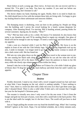Heart failure at such a young age. *Have mercy*. At least now she can recover and live a normal life. "I'm glad I can help. You have my number. If you need me before our scheduled meeting, don't hesitate to call."

The doctor shakes my hand, thanking me again. Really, there is no need to thank me. No child should have to live with the torment these kids are living with. I'm happy to give my healing blood to these unfortunate and innocent children.

\*\*\*

The thumping music is deafening, even out here in the parking lot. People are filing into the building, and I survey the crowd looking for a lonely woman desperate for company. After donating blood, I'm starving. Phil is bustling around, pouring drinks for several customers. Spying me, he mouths, "Wine?"

"Yes." Phil has been with us for a while. He knows I'm immortal; he also knows that today is my donation day and I'll be needing blood to regain my strength. One glass of blood will not be enough to sate my hunger. I'll need a warm body and fresh blood to curb my appetite.

I take a seat on a barstool while I wait for Phil to fill my drink. My focus is on the napkin in front of me with the Club Infinity logo. When her long fingernails trail up my arm, I smile in triumph. I no longer need to go hunt for that lonely woman to sneak off into a dark corner with. She has found me.

Phil sets my wine glass down on the napkin. His eyes travel to the woman next to me, the one running her black nails along my arm. Before he can ask her what she will be drinking, I drag her off to the dance floor. I don't have the patience to listen to her life story while she slowly sips whatever concoction tickles her fancy.

Instead I take her to the dance floor, where we'll dance for a bit while I drink my glass of blood, then I'll drag her toward the back hallway and drink from her until I satisfy my appetite.

## **Chapter Three**

#### *Desiree*

Freshly showered, I stand at my closet with a towel wrapped around my hair and stare at what little I have hanging on the rod, which is nothing suitable. "I have nothing to wear." Sure, there is a worn-out shirt with a little red cross on it that I got three years ago, after I donated blood. There is also a solid white T-shirt and a red sweater that I bought last year for the hospital's Christmas party.

The sweater is virtually new since I only wore it for the one event. I free it from the hanger and grab my best pair of jeans, worn thin with a small hole in the back pocket. This is not the ideal outfit for tonight, but it's the best I have. The world will just have to deal with it.

Just as I begin pulling the sweater over my head the doorbell rings. *What? Am I running behind?* I glance at the clock. Nope, I'm not behind schedule, she is thirty minutes early.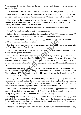"I'm coming," I yell. Smoothing the fabric down my waist, I race down the hallway to answer the door.

"Oh, my word," Tracy shrieks. "You are not wearing that." She gestures to my outfit.

I look down at myself. Okay, so I'm not dressed in a revealing dress with hooker heels, but I don't look like the bride of Frankenstein either. "What's wrong with my clothes?"

She steps over the threshold with a humph, kicking the door shut behind her. "This sweater is like something from the eighties. Where'd you get it, from your grandma?" Sticking her finger in her mouth, she fake gags.

Ouch. I can't believe that my best friend would dare insult me in my own home.

"Here." She hands me a plastic bag. "I came prepared."

I glance down at the name printed on the black plastic. Vanti. "You bought me clothes?" Vanti is a designer store in the mall. A store *way* out of my price range.

"Well, I didn't figure you'd have anything appropriate for the club, so I stopped and grabbed you a little somethin' somethin'."

Yes, Tracy is my best friend, and it makes sense that she would want to buy me a gift, but this? This is so out of my league.

Snapping her fingers in my face to gain my attention, she makes a shooing motion. "Hurry up and quit wastin' time."

Unlike Tracy, I didn't come from money, so most of my paycheck goes toward school loans. This is the first time that I've held designer clothing of my own. My only other experience with expensive clothing was what I borrowed from Tracy when we were growing up. Excitement runs through my veins, and I find myself bursting at the seams to try them on.

Running down the hall, I rush to strip out of my clothes and into the new ones. I'm in such a hurry that I don't bother closing the door behind me. I just want to slip into these fabulous items. If Tracy happens to peek inside, oh well, it's not like it would be the first time she saw me naked.

Standing in front of my mirror, I admire the way the clothes cling to my body in all the right places. I haven't looked this good in—well, ever. The purple halter top hugs my body and gives my breasts a push upward, exaggerating my cleavage. Black hip-hugger jeans with studs on the back pockets and silver heels complete the outfit.

The ponytail on my head is out of place—I need to fix that. Tapping my chin, I think of ways to fix my hair to match my new outfit. I could leave it down, or pull it into a bun on the top of my head. No. That's not quite the look I'm searching for.

Pulling up the Internet tab on my phone, I search hairstyles. I scroll through page after page of photos. Ten pages later, I spot the perfect style. I dig through my hair accessories drawer and retrieve a large hair clip. Twisting my hair, I pull it up, leaving a few strands to fall in loose curls around my face.

That's it. This is the perfect look for my outfit. When I walk into the living room, Tracy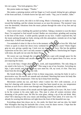lets out a gasp. "You look gorgeous, Des."

Her praise makes me happy. "Thanks."

She makes a spinning motion with her finger so I twirl around, letting her get a glimpse of the front and back. A whistle leaves her lips and I smile. "Yep, you're smokin', babe."

\*\*\*

By the time we arrive, the club is in full swing. Music is booming as we make our way toward the building, and the volume increases as we near the entrance. The moment I step over the threshold, vibrations from the music pulsate through the soles of my feet and up into my chest.

I have never seen a building this packed out before. Taking a moment to scan the dance floor, I'm surprised to find myself excited. Bodies are everywhere, grinding and swaying to the beat of the music. A smile quickly spreads on my face. I hadn't expected this, but the music pulsing through my body, mixing with this atmosphere, reminds me of my high school days. A thrill runs through me.

I'm reminded of what it's like to live in the moment, what it's like to love life. Why had I been so quick to shoot her down every weekend for the last few years? Warm fingers grip my arm, giving a gentle tug. I look over my shoulder at Tracy. She has the giddiest expression on her face, and I can only assume it matches my own. Interlocking her fingers with mine, she pulls me out onto the dance floor.

We weave our way through the crowd until we find a spot with enough space for the two of us. A few whistles and catcalls come our way, but we ignore them. For now, we are just enjoying the music.

Lost in the beat, I forget about my bills, work, and responsibilities. The only thing on my mind is the lyrics to "Crazy in Love." This song is one of my favorites. Swiveling my hips, I spin around, and that's when my eyes meet his. *Oh, my word, it's him.* That sexy beast from the elevator is here in the club.

My breath hitches at the sight of him in those snug jeans, moving his body in such a provocative way. His moves are smooth and calculated. Watching him move his body like that raises my body temperature. I bite my lip to keep from mewling.

Movement catches my eye, and that's when I notice her. He's with someone...or at least he's dancing with someone. Like ice water has been tossed on me, my temperature declines at such force a shiver runs through me. Disappointed, my smile falters.

A smile lifts the corners of his mouth and the lights sparkle in his eyes. Oh, how I wish to be the woman in his arms right now. This man is what all women envision when dreaming of the perfect man. He lifts his wine glass, taking a sip of the red drink. *Wait*, *what?* He's dancing to this sexy music and drinking wine? Pure talent. If it were me, I'd already be wearing that delicious red right down the front of this beautiful new top.

Everything about him draws me in—his smile, his black hair and tan skin, his faded blue Wranglers that hug his backside like a lover, even his dance moves. I hope that the woman in his arms is not his girlfriend; or worse, his wife.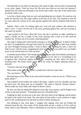The butterflies in my belly are dancing at the speed of light, and my heart is hammering in my chest. Again, I bite my lower lip. His eyes have been on me since the moment I spotted him, but when my teeth grip at my lip his eyes widen. One side of his mouth turns up and he winks at me.

I can feel a blush rising from my neck and spreading into my cheeks. No man has ever made me feel this way. His smile widens at the heat in my face. The moment is over all too soon when the woman in his arms gyrates against him and his attention falls back to her.

Sadness. That's what I'm feeling right now, total and utter sadness. His attention is what I crave. I want to be the one in his arms, gyrating against him, and not swaying to this music by myself.

I spin around to tell Tracy about Mr. Sexy, but she is nowhere in sight. Standing on tiptoe, I finally see her a couple of feet away dancing with a man in an old worn-out cowboy hat. At least one of us scored a dancing partner.

The song is fading and I find myself swaying to a much slower tune. It doesn't bother me that I'm standing here moving to the music by myself. There is no other man, besides my sexy Wrangler-wearing cowboy, I want to dance with. Closing my eyes, I move my body in sync with the music, imagining his arms around me. In my mind's eye, our bodies move as one and he leans in to kiss my neck.

A moment passes before I feel strong hands gripping my hips from behind, pressing my body flush against his. I don't need to open my eyes to see who it is. Everything in me recognizes him. Electricity ignites between us, warming my skin where his body is touching mine. His hands slowly travel up to my waist, his fingers splaying along my stomach.

"I haven't seen you in here before."

When those words leave his mouth, I wonder how often he comes here.

"No, you haven't."

His head leans on the crook of my neck and his breath is warm on my ear. "What's your name, darlin'?"

That southern accent makes me weak in the knees. I glance over my shoulder and into his hazel eyes. Oh, those eyes are so beautiful. "My name is Desiree. Desiree Gibson." Nerves make my voice shaky and I hope he doesn't notice.

By now, our hips are doing this seductive sway, dip, sway motion, and his fingers trace circles on my bare stomach. "A beautiful name for a beautiful lady."

Gripping my hips, he turns me in his arms. His eyes shine in the lighting, and he places his hand at the small of my back. The wine glass he had earlier is now nowhere in sight, and I'm left wondering how he had time to return it before joining me.

Just thinking of that wine glass, I imagine him sipping wine and me licking the moisture from his lips. One corner of his mouth pulls up into a smile as if he's read my mind, which is just ridiculous. There is absolutely no way that he could know the thoughts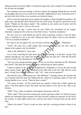rolling around in my head. *Right?* A chuckle escapes him, and I wonder if it's possible that he can hear my thoughts.

Not wanting to ruin my evening, I choose to ignore the nagging feeling that he can read my thoughts and just rest my head on his shoulder. Tightening my arms around his neck, I get lost in the feel of him as we continue our seductive dance.

All too soon the song ends and an upbeat tune begins to blare through the speakers. He pulls away, and already I feel cold from the loss of his touch. He places a quick kiss on my cheek. "Thanks for the dance, darlin'." His southern accent seems out of place with his Hispanic features, but it's sexy as all can be.

Licking my dry lips, I notice that his eyes follow the movement of my tongue. Internally, I pump my fist in the air at this little victory. "Anytime, handsome."

His eyes stray to a spot behind me and he nods in greeting. Curious, I turn my head. Tracy is making her way to my side. Taking my hand, he plants a kiss on my knuckles. "I'll see ya around sometime?"

He wants to see me again? *Yes, you will most certainly see me again*. "Definitely."

"Good." He stays just a little longer than necessary, gazing into my eyes, then he departs with a glance over his shoulder.

"Who is Mr. McHottie?" Tracy asks.

I'm so busy watching his hips move that I'm not hearing a word she's saying. Pain radiates through my arm where she hits me. "Ow, what was that for?" Then the she-devil moves in front of me, blocking my view of him.

"Are you even paying attention to me, or are you too busy checking out Mr. McHottie back there?" She jams her thumb behind her, referencing my dance partner.

I stand on tiptoes to see where he disappeared to. Hopefully it's not in the arms of that other woman. Nope. He is now standing on the other side of the bar. Odd, does he work here? Giving Tracy my full attention, I ask, "Uh...what was the question?"

She rolls her eyes, which annoys me. "Mr. McHottie." Turning around, she searches the sea of people until she spots him behind the bar, where he is pouring a glass of wine and staring intently at us—at me. "Does he have a name?"

"Of course, he does." As the words leave my mouth I realize that I hadn't gotten his name. I had been quick to give him mine, but had failed to even ask for his. *Way to go*, *Desiree*.

"Well?" Tracy raises an eyebrow, showing her annoyance with me.

"Well, what?" Why must this woman play twenty questions while I'm clearly trying to admire my handsome dance partner? He leans forward, resting his forearms on the top of the counter. A smile lights up his face, and his eyes haven't strayed from me this entire time.

"What is his name?" Tracy's words are slow, and she's waving her hand in front of my face.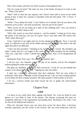Take a hint woman, and leave me alone to gawk at this gorgeous man.

"Oh, for crying out loud." She takes my face in her hands, forcing me to look at only her. "What is his name?"

"Huh?" Half of what she says registers, but I haven't been able to focus on her while gazing at him. It takes me a minute to remember what she had asked. "Oh." I frown. "I never asked."

"What?" Tracy shakes her head. "I can't believe we're friends. How do you dance with someone as hot as that," she nods toward him, "and not ask for his name?"

"Well, excuse me for not being up to date on this clubbing stuff." Jeez, my friend is annoying. "I just didn't think to ask."

"Well, silly, march on over there and get it...and his number." Letting go of my arms, she points in his direction, but now he's gone. Tracy's arm falls when she notices this. "Well, where did he go?"

*Great.* I had him in my sights and now he has disappeared. Thanks, Tracy. I scan the room. It's difficult to see with all the bodies dancing and grinding. Then there's the dim lights that add to my difficulty.

"I don't see him anywhere." Standing on my tiptoes, again, I search. My shoulders sag when I realize that he is no longer in this room. He has quite possibly left the building. "This was a bad idea. I knew I should have stayed home. Now I'll be disappointed all week."

Shaking her head, Tracy says, "No, this was a fantastic idea."

I roll my eyes. Yes, fantastic. I find the guy of my dreams, and let him disappear without getting his name and number.

She grips my shoulders, turning me back toward her. "Look, he was just behind that counter, so he obviously works here." Tapping my chin, she smiles.

It takes me a minute to understand what she's implying. Then my eyes widen in realization. Why hadn't I thought of that? Eyeing the bar, I spy two men working quickly to mix drinks for their waiting customers. My dance partner is still nowhere to be seen.

I let out a nervous breath and head toward the bar to gather the much-needed information.

# **Chapter Four**

### *Caleb*

I sit down in my comfy desk chair, sipping cold blood. Yes, I put my blood in wine glasses so I can drink in front of the masses. The humans occupying this joint are completely oblivious to the supernatural surrounding them. Reclining in my chair, I rest my feet on the desktop and reminisce.

When her chocolate brown eyes met mine from across the dance floor, I had been *instantly captivated, just like earlier in the elevator. She was sweet perfection, with her*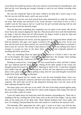raven black hair pulled up loosely with a few natural curls framing her beautiful face, and *that top she wore showing just enough cleavage to catch my eye without revealing what lay beneath.*

*The* way she swayed her hips to the music called to my body like a siren's song. It was *like she was one with the music, and it was sexy as hell.* 

*I* noticed the way her eyes had strayed from mine momentarily to study the woman in *my* arms. This beauty was attracted to me. Good, because I was drawn to her as well. I *couldn't* wait for this song to end so I could lose the girl currently dancing with me and make my way toward my heavenly angel.

Then she had done something that completely tore me apart at the seams. She bit her *lower lip as she swayed, dipping her hips low. That provocative move stole the breath from my* lungs. I had just about lost all self-restraint; my fingers itched to grip her hips and *press her against me as we lost ourselves to the music.* 

*A* line formed between her brows, and she appeared to be concerned about whether she *held* my attention. Her gaze, once again, traveled to the woman in my arms. As her eyes *bore into the back of my dance partner, her nostrils flared and her heartbeat accelerated. I had* to ease her worries. The woman I had chosen to dance with was nothing more than a *stranger to occupy my time on the dance floor, someone I had originally planned on sneaking off with to snack from.* 

*There* was something about my angel that I was drawn to—I'd felt it when I ran into *her* at the hospital. The longer I stared at her beautiful face, the stronger those feelings *became. In my long life, I had never felt this way about a woman.* 

*Needing to reassure her, I waited until her eves turned back to mine, and then I smiled. Her eyes softened and her heart sped up. Among all the other people in the crowd, her thoughts projected toward me the loudest. Opening my mind to her, I read those thoughts and couldn't stop the chuckle from leaving me. At first, she was impressed at my ability to* dance with a glass of wine without spilling a drop, then her eyes and thoughts traveled the *length of my body, admiring my physique.* 

*A blush had spread into her cheeks, and it was the most beautiful thing I have ever seen.* I've been around for centuries and have seen many women blush, but on her it was *exquisite.* The smile that curved my lips deepened, knowing that I was the cause of the *heat radiating through her body.* 

Our dance plays over and over in my mind. The feel of her body pressed against mine, the scent of her shampoo, and the hint of a cotton candy fragrance that clung to her skin all drew me in like a sailor to a siren.

I raise my hands above my head and watch the monitors surrounding me. There she is, standing at the bar, twirling one of her loose curls on the end of her finger. I tap my short nails on the metal arm of my desk chair. These blasted monitors don't have audio, and now I'm wishing I had purchased the ones with sound so I could hear her mystical voice.

The bartender, Phil, approaches her with a grin. I zoom in so that I can read her lips. *"Excuse me, but can you tell me the name of the man that was just back there a moment*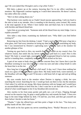*ago? He wore faded blue Wranglers and a crisp white T-shirt."*

Phil darts a glance up at the camera, knowing that I'm in my office watching the monitors. My fingernails continue tapping as I watch their interaction. He doesn't answer, but rather offers her a drink.

"She's in there asking about you."

That baritone voice startles me as I hadn't heard anyone approaching. I jerk my head to the side to look at my intruder. Alex is standing in the doorway, arms crossed. My cousin is the total opposite of me. Where I have darker skin and black hair, he is fair-skinned, with freckles and bleach blond hair.

I give him an accusing look. "Someone stole all the blood from my mini fridge. Care to explain yourself?"

Alex takes a step closer, examining my darkened eyes. "Why didn't you feed before coming in?"

Removing my feet from the desktop, I stand. "I had a snack. I had Phil pour a bag into a wine glass, and I had every intention on luring my date back to finish nourishing my body, but I was mesmerized by Desiree's captivating eyes." I glance back at the monitor for another glimpse of her.

Turning my gaze back to Alex, my nostrils flare at the smirk on my cousin's face. For whatever reason, that smirk irks my nerves and my lips pull back in a snarl. How is this funny? My body is wound tight, yearning for some oxygenated blood to fuel my system. and he is standing there, completely sated and a smirk etched on his face.

A part of me wants to body slam him into the concrete floor, but I know that is just the bloodlust worming its way into my mind. I close my eyes and take a deep breath to calm the beast that is on the rise.

How long has it been since I've had a full meal? A day, two? I have done nothing but snack on a glass of blood here and a glass there. My body needs fresh, warm nutrients, or the bloodlust will take control and I'll become a wild beast full of rage and end up killing someone.

My eyes wonder back to the monitor where Desiree is sipping a drink, her eyes searching the crowd. Searching for me. I would go back out there to her, but the emotions I feel when I'm with her are strong. Mix those emotions with my hunger and I would have an uncontrollable desire to feed from her. I don't want her to see that side of me, and I'm afraid of what would happen to her if my bloodlust did overrule me.

Alex reaches in his front jeans pocket and pulls out a set of keys. Flipping through several on the massive ring, he grips a small golden key and extends his hand. "I have two bags in the mini fridge behind my desk. I'll stall her, you feed, and then get yourself out there before I decide to take her home."

"Thanks." I take the offered keys and then point a finger in his face. "You keep your grubby hands off her. She's mine."

The smirk on his face grates my nerves something fierce. "Really? Because as I see it,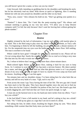you still haven't given her a name, so how can you lay claim?"

I dart forward, fully intending on grabbing him by the shoulders and breaking his neck, but he has obviously read my mind. With moves as quick as lightning, Alex is standing behind me with one arm around my shoulders and the other on my head.

"Now, now, cousin." Alex releases his hold on me. "Don't go getting your panties in a twist."

"Panties?" I shove him. "Do I look like the panty-wearing type?" His silence and constant smirking is grating on my very last nerve. "I'll allow you to keep Desiree company until I've fed, but only because I don't want her leaving here without getting her phone number."

## **Chapter Five**

### *Desiree*

Slightly irritated by the lack of information, I tap my nails on the cold martini glass in my hand. This is the third song to play since my dance with Mr. McHottie, as Tracy calls him. I'm beginning to think he left the building, my presence already a distant memory of his. For the umpteenth time my eyes scan the bodies out on the dance floor. Still nothing. The man is nowhere to be found.

Where could he have gone? I thought for sure he was interested in me. *Please tell me I'm not wrong about that.* Surely the universe wouldn't be so cruel as to bring a sexy man like that into my life only to tease me with his presence.

No, I refuse to believe that I meant nothing more than a three-minute dance.

Multi-colored lights flicker on the dance floor, making it hard for my eyes to keep focus. As I continue to scan the room, my leg starts a nervous bounce. My dance partner has a name, and dang it, I intend to find out what that glorious name is so I can properly dream of my sexy man. I'll stay all night if I have to; maybe I'll even camp out front until he returns. Anything to ensure I see him again.

Ten minutes later and my shoulders slump. I've been sitting here for what feels like an eternity and still no sexy hunk of a man. "Ugh, such is my life."

From across the room I spy Tracy having the time of her life. The new guy she's found has been stuck to her like glue. They have danced together since she sent me to find my man. How nice for her. I know I shouldn't be jealous of her, but I am. She found a guy that is totally digging her, and I find one that can't leave me quick enough. *Le sigh*.

A man sits on the barstool next to me, his hand just mere inches from my elbow. "Can I buy you a drink?"

Is the fool blind? I have a full martini in my hand, and he's asking to buy me a drink? *Weirdo*. "No." I hold up my glass as a sign that I am not in need of a drink.

Not taking the hint, he slides closer, brushing his fingers along my arm. "How about something a little warmer than that fruity mess you have there?"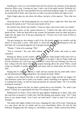Standing up, I move to a seat further down the bar and turn my attention in the opposite direction. *What a pia*. Crossing my legs, I take a sip of the apple martini. Drinking isn't really my thing, but this sweet goodness has my taste buds doing the tango. It's a party-inmy-mouth kind of drink, and I may have to order a second one before the night is over.

Warm fingers grip my arm above the elbow, and give a firm squeeze. "Now, that was rude."

Glancing down at the hand gripping me, my mouth forms a tight line. How dare that creep put his hands on me? "Get your nasty hands off me."

His nostrils flare and his eyes harden. "Come on, baby, I just want to buy you a drink."

A hand slams down on the counter between us. "I believe the lady said to take your hands off her." With one hand still on the counter, the bartender raises his other and jams a finger into the upper arm of the guy squeezing me. "I'll give you to the count of three to leave this club."

The guy hurting my arm releases a puff of air. His breath assaults my nostrils, and the stench is worse than a sewer. "This place is a buzz-kill anyway." Releasing my arm, the jerk takes off, weaving through the sea of people toward the exit.

"Thanks," I look at his nametag, "Phil."

"You're welcome." His eyes shift behind me, then he smiles and tends to other customers.

Resting my elbows on the counter, I let out a breath. Some people really know how to damper the mood. Running my finger over the rim of my glass, I dip my finger inside and lick the stickiness off. Lost in my own little world, I never hear any footsteps, but who can hear a thing with this music blaring and people shouting above the noise? When a hand clasps my shoulder it startles me. I jump and nearly spill my drink down the front of my shirt.

Hoping that it's my sexy cowboy, I smile and turn around, but my smile fades when I spy the blond-haired man standing there. He extends his hand. "Hello."

I glance at the offered hand like it will suddenly grow fangs and bite my fingers off. The hesitation causes him to push it out further, clearly unwilling to be ignored. In hopes of rushing him along, I accept his hand, giving him an awkward shake. "Hi. I'm actually waiting for someone."

Bringing my hand to his lips, he plants a gentle kiss to my knuckles. "So, what's your name?" Clearly, he is ignoring the fact that I'm waiting for someone.

Pulling back my hand, I frown when his grip tightens, holding me in place. *Ugh, does this* man have no manners? I really don't feel like dealing with another creep. "Uh." I look down at our joined hands. "Can I have my hand back? I kind of need it for work on Tuesday."

The multi-color lights twinkle in his eyes, changing the color of his irises. Glancing up to a spot above the bar, he smirks and my eyes immediately follow the trail his had followed. Hanging from the ceiling is a surveillance camera. I hadn't noticed that before.